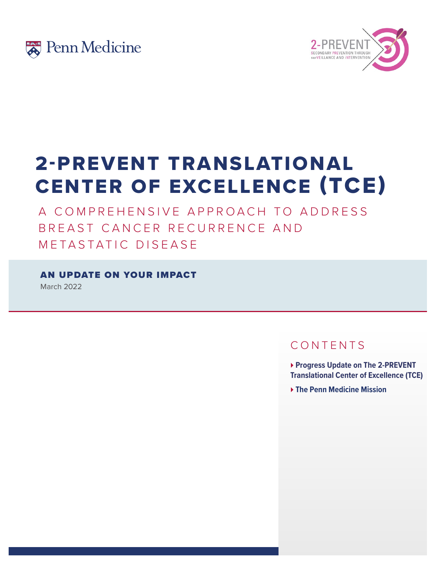



# 2-PREVENT TRANSLATIONAL CENTER OF EXCELLENCE (TCE)

A COMPREHENSIVE APPROACH TO ADDRESS BREAST CANCER RECURRENCE AND METASTATIC DISEASE

AN UPDATE ON YOUR IMPACT

March 2022

## CONTENTS

} **Progress Update on The 2-PREVENT Translational Center of Excellence (TCE)** 

} **The Penn Medicine Mission**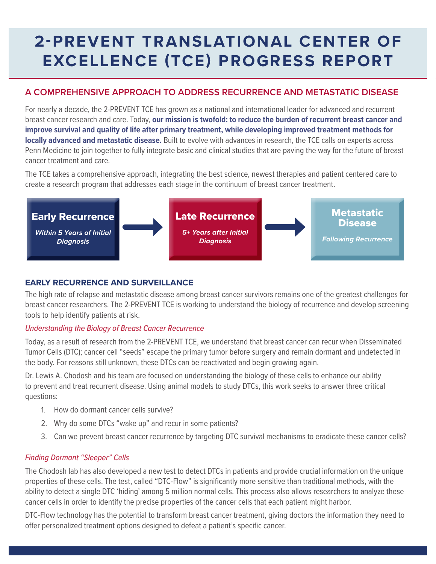# **2-PREVENT TRANSLATIONAL CENTER OF EXCELLENCE (TCE) PROGRESS REPORT**

### **A COMPREHENSIVE APPROACH TO ADDRESS RECURRENCE AND METASTATIC DISEASE**

For nearly a decade, the 2-PREVENT TCE has grown as a national and international leader for advanced and recurrent breast cancer research and care. Today, **our mission is twofold: to reduce the burden of recurrent breast cancer and improve survival and quality of life after primary treatment, while developing improved treatment methods for locally advanced and metastatic disease.** Built to evolve with advances in research, the TCE calls on experts across Penn Medicine to join together to fully integrate basic and clinical studies that are paving the way for the future of breast cancer treatment and care.

The TCE takes a comprehensive approach, integrating the best science, newest therapies and patient centered care to create a research program that addresses each stage in the continuum of breast cancer treatment.



#### **EARLY RECURRENCE AND SURVEILLANCE**

The high rate of relapse and metastatic disease among breast cancer survivors remains one of the greatest challenges for breast cancer researchers. The 2-PREVENT TCE is working to understand the biology of recurrence and develop screening tools to help identify patients at risk.

#### *Understanding the Biology of Breast Cancer Recurrence*

Today, as a result of research from the 2-PREVENT TCE, we understand that breast cancer can recur when Disseminated Tumor Cells (DTC); cancer cell "seeds" escape the primary tumor before surgery and remain dormant and undetected in the body. For reasons still unknown, these DTCs can be reactivated and begin growing again.

Dr. Lewis A. Chodosh and his team are focused on understanding the biology of these cells to enhance our ability to prevent and treat recurrent disease. Using animal models to study DTCs, this work seeks to answer three critical questions:

- 1. How do dormant cancer cells survive?
- 2. Why do some DTCs "wake up" and recur in some patients?
- 3. Can we prevent breast cancer recurrence by targeting DTC survival mechanisms to eradicate these cancer cells?

#### *Finding Dormant "Sleeper" Cells*

The Chodosh lab has also developed a new test to detect DTCs in patients and provide crucial information on the unique properties of these cells. The test, called "DTC-Flow" is significantly more sensitive than traditional methods, with the ability to detect a single DTC 'hiding' among 5 million normal cells. This process also allows researchers to analyze these cancer cells in order to identify the precise properties of the cancer cells that each patient might harbor.

DTC-Flow technology has the potential to transform breast cancer treatment, giving doctors the information they need to offer personalized treatment options designed to defeat a patient's specific cancer.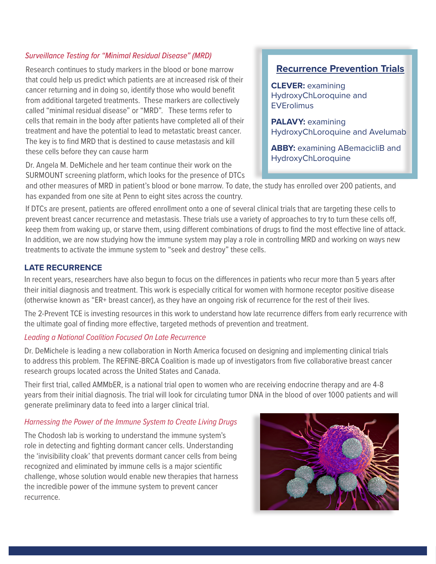#### *Surveillance Testing for "Minimal Residual Disease" (MRD)*

Research continues to study markers in the blood or bone marrow that could help us predict which patients are at increased risk of their cancer returning and in doing so, identify those who would benefit from additional targeted treatments. These markers are collectively called "minimal residual disease" or "MRD". These terms refer to cells that remain in the body after patients have completed all of their treatment and have the potential to lead to metastatic breast cancer. The key is to find MRD that is destined to cause metastasis and kill these cells before they can cause harm

Dr. Angela M. DeMichele and her team continue their work on the SURMOUNT screening platform, which looks for the presence of DTCs

### **Recurrence Prevention Trials**

**CLEVER:** examining HydroxyChLoroquine and **EVErolimus** 

**PALAVY:** examining HydroxyChLoroquine and Avelumab

**ABBY: examining ABemacicliB and** HydroxyChLoroquine

and other measures of MRD in patient's blood or bone marrow. To date, the study has enrolled over 200 patients, and has expanded from one site at Penn to eight sites across the country.

If DTCs are present, patients are offered enrollment onto a one of several clinical trials that are targeting these cells to prevent breast cancer recurrence and metastasis. These trials use a variety of approaches to try to turn these cells off, keep them from waking up, or starve them, using different combinations of drugs to find the most effective line of attack. In addition, we are now studying how the immune system may play a role in controlling MRD and working on ways new treatments to activate the immune system to "seek and destroy" these cells.

#### **LATE RECURRENCE**

In recent years, researchers have also begun to focus on the differences in patients who recur more than 5 years after their initial diagnosis and treatment. This work is especially critical for women with hormone receptor positive disease (otherwise known as "ER+ breast cancer), as they have an ongoing risk of recurrence for the rest of their lives.

The 2-Prevent TCE is investing resources in this work to understand how late recurrence differs from early recurrence with the ultimate goal of finding more effective, targeted methods of prevention and treatment.

#### *Leading a National Coalition Focused On Late Recurrence*

Dr. DeMichele is leading a new collaboration in North America focused on designing and implementing clinical trials to address this problem. The REFINE-BRCA Coalition is made up of investigators from five collaborative breast cancer research groups located across the United States and Canada.

Their first trial, called AMMbER, is a national trial open to women who are receiving endocrine therapy and are 4-8 years from their initial diagnosis. The trial will look for circulating tumor DNA in the blood of over 1000 patients and will generate preliminary data to feed into a larger clinical trial.

#### *Harnessing the Power of the Immune System to Create Living Drugs*

The Chodosh lab is working to understand the immune system's role in detecting and fighting dormant cancer cells. Understanding the 'invisibility cloak' that prevents dormant cancer cells from being recognized and eliminated by immune cells is a major scientific challenge, whose solution would enable new therapies that harness the incredible power of the immune system to prevent cancer recurrence.

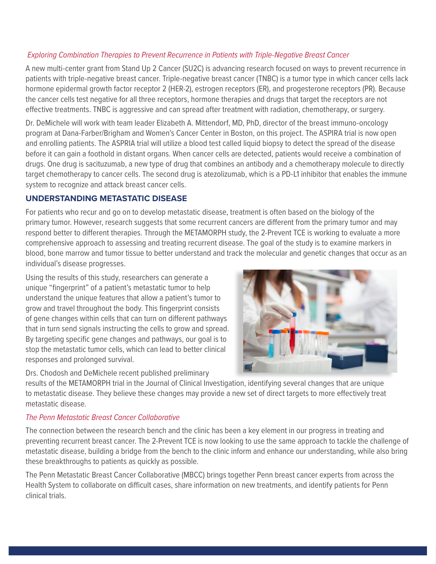#### *Exploring Combination Therapies to Prevent Recurrence in Patients with Triple-Negative Breast Cancer*

A new multi-center grant from Stand Up 2 Cancer (SU2C) is advancing research focused on ways to prevent recurrence in patients with triple-negative breast cancer. Triple-negative breast cancer (TNBC) is a tumor type in which cancer cells lack hormone epidermal growth factor receptor 2 (HER-2), estrogen receptors (ER), and progesterone receptors (PR). Because the cancer cells test negative for all three receptors, hormone therapies and drugs that target the receptors are not effective treatments. TNBC is aggressive and can spread after treatment with radiation, chemotherapy, or surgery.

Dr. DeMichele will work with team leader Elizabeth A. Mittendorf, MD, PhD, director of the breast immuno-oncology program at Dana-Farber/Brigham and Women's Cancer Center in Boston, on this project. The ASPIRA trial is now open and enrolling patients. The ASPRIA trial will utilize a blood test called liquid biopsy to detect the spread of the disease before it can gain a foothold in distant organs. When cancer cells are detected, patients would receive a combination of drugs. One drug is sacituzumab, a new type of drug that combines an antibody and a chemotherapy molecule to directly target chemotherapy to cancer cells. The second drug is atezolizumab, which is a PD-L1 inhibitor that enables the immune system to recognize and attack breast cancer cells.

#### **UNDERSTANDING METASTATIC DISEASE**

For patients who recur and go on to develop metastatic disease, treatment is often based on the biology of the primary tumor. However, research suggests that some recurrent cancers are different from the primary tumor and may respond better to different therapies. Through the METAMORPH study, the 2-Prevent TCE is working to evaluate a more comprehensive approach to assessing and treating recurrent disease. The goal of the study is to examine markers in blood, bone marrow and tumor tissue to better understand and track the molecular and genetic changes that occur as an individual's disease progresses.

Using the results of this study, researchers can generate a unique "fingerprint" of a patient's metastatic tumor to help understand the unique features that allow a patient's tumor to grow and travel throughout the body. This fingerprint consists of gene changes within cells that can turn on different pathways that in turn send signals instructing the cells to grow and spread. By targeting specific gene changes and pathways, our goal is to stop the metastatic tumor cells, which can lead to better clinical responses and prolonged survival.

Drs. Chodosh and DeMichele recent published preliminary



results of the METAMORPH trial in the Journal of Clinical Investigation, identifying several changes that are unique to metastatic disease. They believe these changes may provide a new set of direct targets to more effectively treat metastatic disease.

#### *The Penn Metastatic Breast Cancer Collaborative*

The connection between the research bench and the clinic has been a key element in our progress in treating and preventing recurrent breast cancer. The 2-Prevent TCE is now looking to use the same approach to tackle the challenge of metastatic disease, building a bridge from the bench to the clinic inform and enhance our understanding, while also bring these breakthroughs to patients as quickly as possible.

The Penn Metastatic Breast Cancer Collaborative (MBCC) brings together Penn breast cancer experts from across the Health System to collaborate on difficult cases, share information on new treatments, and identify patients for Penn clinical trials.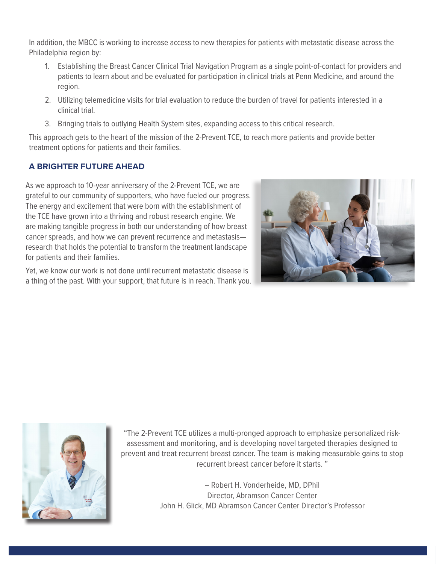In addition, the MBCC is working to increase access to new therapies for patients with metastatic disease across the Philadelphia region by:

- 1. Establishing the Breast Cancer Clinical Trial Navigation Program as a single point-of-contact for providers and patients to learn about and be evaluated for participation in clinical trials at Penn Medicine, and around the region.
- 2. Utilizing telemedicine visits for trial evaluation to reduce the burden of travel for patients interested in a clinical trial.
- 3. Bringing trials to outlying Health System sites, expanding access to this critical research.

This approach gets to the heart of the mission of the 2-Prevent TCE, to reach more patients and provide better treatment options for patients and their families.

### **A BRIGHTER FUTURE AHEAD**

As we approach to 10-year anniversary of the 2-Prevent TCE, we are grateful to our community of supporters, who have fueled our progress. The energy and excitement that were born with the establishment of the TCE have grown into a thriving and robust research engine. We are making tangible progress in both our understanding of how breast cancer spreads, and how we can prevent recurrence and metastasis research that holds the potential to transform the treatment landscape for patients and their families.

Yet, we know our work is not done until recurrent metastatic disease is a thing of the past. With your support, that future is in reach. Thank you.





"The 2-Prevent TCE utilizes a multi-pronged approach to emphasize personalized riskassessment and monitoring, and is developing novel targeted therapies designed to prevent and treat recurrent breast cancer. The team is making measurable gains to stop recurrent breast cancer before it starts. "

> – Robert H. Vonderheide, MD, DPhil Director, Abramson Cancer Center John H. Glick, MD Abramson Cancer Center Director's Professor